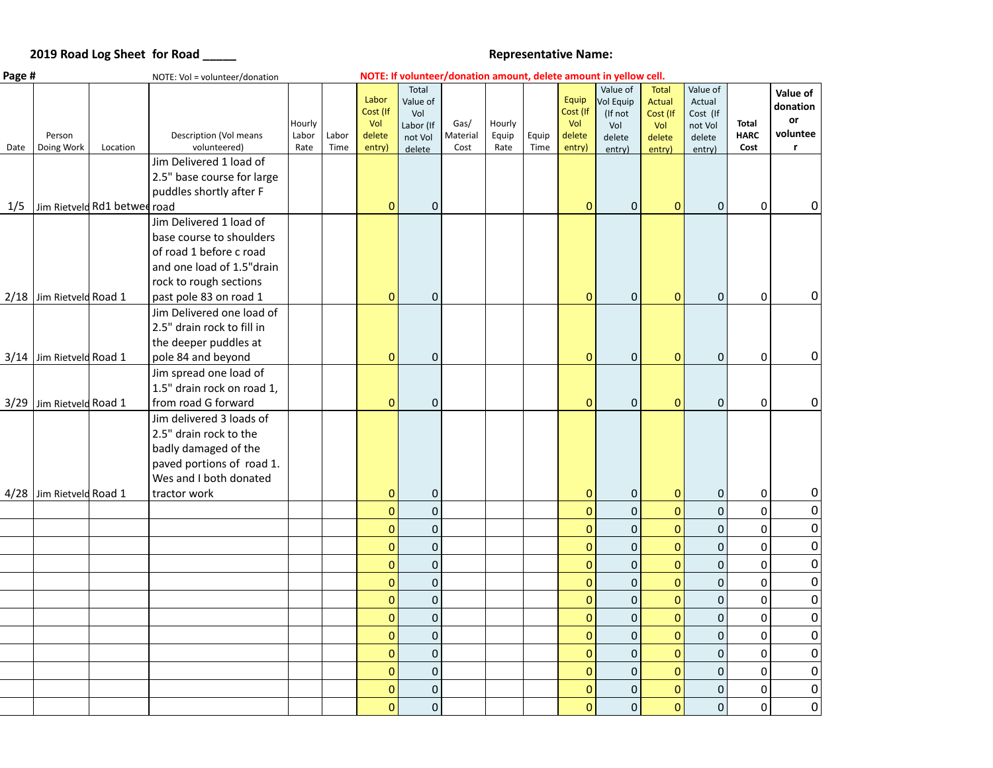## **2019 Road Log Sheet for Road \_\_\_\_\_\_ <br>
<b>Representative Name:**  $\blacksquare$

| Page # |                      | NOTE: Vol = volunteer/donation |                                                     |                         |               |                                              |                                                            |                          |                         |               | NOTE: If volunteer/donation amount, delete amount in yellow cell. |                                                             |                                                               |                                                               |                                     |                                                        |
|--------|----------------------|--------------------------------|-----------------------------------------------------|-------------------------|---------------|----------------------------------------------|------------------------------------------------------------|--------------------------|-------------------------|---------------|-------------------------------------------------------------------|-------------------------------------------------------------|---------------------------------------------------------------|---------------------------------------------------------------|-------------------------------------|--------------------------------------------------------|
| Date   | Person<br>Doing Work | Location                       | Description (Vol means<br>volunteered)              | Hourly<br>Labor<br>Rate | Labor<br>Time | Labor<br>Cost (If<br>Vol<br>delete<br>entry) | Total<br>Value of<br>Vol<br>Labor (If<br>not Vol<br>delete | Gas/<br>Material<br>Cost | Hourly<br>Equip<br>Rate | Equip<br>Time | Equip<br>Cost (If<br>Vol<br>delete<br>entry)                      | Value of<br>Vol Equip<br>(If not<br>Vol<br>delete<br>entry) | <b>Total</b><br>Actual<br>Cost (If<br>Vol<br>delete<br>entry) | Value of<br>Actual<br>Cost (If<br>not Vol<br>delete<br>entry) | <b>Total</b><br><b>HARC</b><br>Cost | Value of<br>donation<br>or<br>voluntee<br>$\mathbf{r}$ |
|        |                      |                                | Jim Delivered 1 load of                             |                         |               |                                              |                                                            |                          |                         |               |                                                                   |                                                             |                                                               |                                                               |                                     |                                                        |
|        |                      |                                | 2.5" base course for large                          |                         |               |                                              |                                                            |                          |                         |               |                                                                   |                                                             |                                                               |                                                               |                                     |                                                        |
|        |                      |                                | puddles shortly after F                             |                         |               |                                              |                                                            |                          |                         |               |                                                                   |                                                             |                                                               |                                                               |                                     |                                                        |
| 1/5    |                      | Jim Rietveld Rd1 betwee road   |                                                     |                         |               | $\mathbf{0}$                                 | $\mathbf 0$                                                |                          |                         |               | $\overline{0}$                                                    | $\mathbf{0}$                                                | $\mathbf{0}$                                                  | $\mathbf{0}$                                                  | $\mathbf 0$                         | 0                                                      |
|        |                      |                                | Jim Delivered 1 load of                             |                         |               |                                              |                                                            |                          |                         |               |                                                                   |                                                             |                                                               |                                                               |                                     |                                                        |
|        |                      |                                | base course to shoulders                            |                         |               |                                              |                                                            |                          |                         |               |                                                                   |                                                             |                                                               |                                                               |                                     |                                                        |
|        |                      |                                | of road 1 before c road                             |                         |               |                                              |                                                            |                          |                         |               |                                                                   |                                                             |                                                               |                                                               |                                     |                                                        |
|        |                      |                                | and one load of 1.5"drain                           |                         |               |                                              |                                                            |                          |                         |               |                                                                   |                                                             |                                                               |                                                               |                                     |                                                        |
|        |                      |                                | rock to rough sections                              |                         |               |                                              |                                                            |                          |                         |               |                                                                   |                                                             |                                                               |                                                               |                                     |                                                        |
| 2/18   | Jim Rietveld Road 1  |                                | past pole 83 on road 1                              |                         |               | $\mathbf{0}$                                 | $\overline{0}$                                             |                          |                         |               | $\mathbf 0$                                                       | $\pmb{0}$                                                   | $\mathbf{0}$                                                  | $\boldsymbol{0}$                                              | $\boldsymbol{0}$                    | 0                                                      |
|        |                      |                                | Jim Delivered one load of                           |                         |               |                                              |                                                            |                          |                         |               |                                                                   |                                                             |                                                               |                                                               |                                     |                                                        |
|        |                      |                                | 2.5" drain rock to fill in                          |                         |               |                                              |                                                            |                          |                         |               |                                                                   |                                                             |                                                               |                                                               |                                     |                                                        |
|        |                      |                                | the deeper puddles at                               |                         |               |                                              |                                                            |                          |                         |               |                                                                   |                                                             |                                                               |                                                               |                                     |                                                        |
| 3/14   | Jim Rietveld Road 1  |                                | pole 84 and beyond                                  |                         |               | $\mathbf 0$                                  | $\mathbf 0$                                                |                          |                         |               | $\overline{0}$                                                    | $\mathbf 0$                                                 | $\mathbf{0}$                                                  | $\mathbf 0$                                                   | $\mathbf 0$                         | $\overline{0}$                                         |
|        |                      |                                | Jim spread one load of                              |                         |               |                                              |                                                            |                          |                         |               |                                                                   |                                                             |                                                               |                                                               |                                     |                                                        |
|        |                      |                                | 1.5" drain rock on road 1,                          |                         |               |                                              |                                                            |                          |                         |               |                                                                   |                                                             |                                                               |                                                               |                                     |                                                        |
| 3/29   | Jim Rietveld Road 1  |                                | from road G forward                                 |                         |               | $\mathbf{0}$                                 | $\mathbf 0$                                                |                          |                         |               | $\mathbf{0}$                                                      | $\mathbf{0}$                                                | $\mathbf{0}$                                                  | $\mathbf{0}$                                                  | $\mathbf 0$                         | $\overline{0}$                                         |
|        |                      |                                | Jim delivered 3 loads of                            |                         |               |                                              |                                                            |                          |                         |               |                                                                   |                                                             |                                                               |                                                               |                                     |                                                        |
|        |                      |                                | 2.5" drain rock to the                              |                         |               |                                              |                                                            |                          |                         |               |                                                                   |                                                             |                                                               |                                                               |                                     |                                                        |
|        |                      |                                | badly damaged of the                                |                         |               |                                              |                                                            |                          |                         |               |                                                                   |                                                             |                                                               |                                                               |                                     |                                                        |
|        |                      |                                | paved portions of road 1.<br>Wes and I both donated |                         |               |                                              |                                                            |                          |                         |               |                                                                   |                                                             |                                                               |                                                               |                                     |                                                        |
|        | Jim Rietveld Road 1  |                                | tractor work                                        |                         |               | $\mathbf{0}$                                 | $\mathbf 0$                                                |                          |                         |               | $\mathbf{0}$                                                      | $\boldsymbol{0}$                                            | $\mathbf{0}$                                                  | $\pmb{0}$                                                     | $\boldsymbol{0}$                    | 0                                                      |
| 4/28   |                      |                                |                                                     |                         |               |                                              |                                                            |                          |                         |               |                                                                   | $\mathbf 0$                                                 |                                                               |                                                               |                                     | $\boldsymbol{0}$                                       |
|        |                      |                                |                                                     |                         |               | $\overline{0}$                               | $\mathbf{0}$                                               |                          |                         |               | $\overline{0}$                                                    |                                                             | $\overline{0}$                                                | $\mathbf 0$                                                   | $\mathbf 0$                         |                                                        |
|        |                      |                                |                                                     |                         |               | $\mathbf{0}$                                 | $\Omega$                                                   |                          |                         |               | $\mathbf 0$                                                       | $\mathbf 0$                                                 | $\mathbf{0}$                                                  | $\mathbf{0}$                                                  | $\mathbf 0$                         | $\boldsymbol{0}$                                       |
|        |                      |                                |                                                     |                         |               | $\overline{0}$                               | $\overline{0}$                                             |                          |                         |               | $\mathbf 0$                                                       | $\mathbf 0$                                                 | $\mathbf{0}$                                                  | $\mathbf 0$                                                   | $\mathbf 0$                         | $\pmb{0}$                                              |
|        |                      |                                |                                                     |                         |               | $\overline{0}$                               | $\mathbf 0$                                                |                          |                         |               | $\overline{0}$                                                    | $\mathbf 0$                                                 | $\overline{0}$                                                | $\mathbf 0$                                                   | $\mathbf 0$                         | $\pmb{0}$                                              |
|        |                      |                                |                                                     |                         |               | $\mathbf 0$                                  | $\mathbf 0$                                                |                          |                         |               | $\mathbf 0$                                                       | $\pmb{0}$                                                   | $\mathbf{0}$                                                  | $\mathbf 0$                                                   | $\mathbf 0$                         | 0                                                      |
|        |                      |                                |                                                     |                         |               | $\overline{0}$                               | $\mathbf 0$                                                |                          |                         |               | $\overline{0}$                                                    | $\mathbf 0$                                                 | $\mathbf 0$                                                   | $\mathbf 0$                                                   | $\mathbf 0$                         | $\pmb{0}$                                              |
|        |                      |                                |                                                     |                         |               | $\overline{0}$                               | $\mathbf 0$                                                |                          |                         |               | $\overline{0}$                                                    | $\mathbf 0$                                                 | $\mathbf{0}$                                                  | $\mathbf 0$                                                   | $\mathbf 0$                         | $\mathbf 0$                                            |
|        |                      |                                |                                                     |                         |               | $\overline{0}$                               | $\mathbf 0$                                                |                          |                         |               | $\overline{0}$                                                    | $\pmb{0}$                                                   | $\mathbf{0}$                                                  | $\pmb{0}$                                                     | 0                                   | $\boldsymbol{0}$                                       |
|        |                      |                                |                                                     |                         |               | $\mathbf 0$                                  | $\mathbf 0$                                                |                          |                         |               | $\mathbf 0$                                                       | $\pmb{0}$                                                   | $\mathbf{0}$                                                  | $\pmb{0}$                                                     | $\mathbf 0$                         | $\mathbf 0$                                            |
|        |                      |                                |                                                     |                         |               | $\mathbf 0$                                  | $\mathbf 0$                                                |                          |                         |               | $\mathbf 0$                                                       | $\pmb{0}$                                                   | $\mathbf 0$                                                   | $\mathbf 0$                                                   | $\mathbf 0$                         | $\mathbf 0$                                            |
|        |                      |                                |                                                     |                         |               | $\Omega$                                     | $\Omega$                                                   |                          |                         |               | $\mathbf 0$                                                       | $\pmb{0}$                                                   | $\mathbf{0}$                                                  | $\mathbf 0$                                                   | $\mathbf 0$                         | $\mathbf 0$                                            |
|        |                      |                                |                                                     |                         |               | $\overline{0}$                               | $\overline{0}$                                             |                          |                         |               | $\overline{0}$                                                    | $\mathbf 0$                                                 | $\mathbf{0}$                                                  | $\mathbf 0$                                                   | $\mathbf 0$                         | $\mathbf 0$                                            |